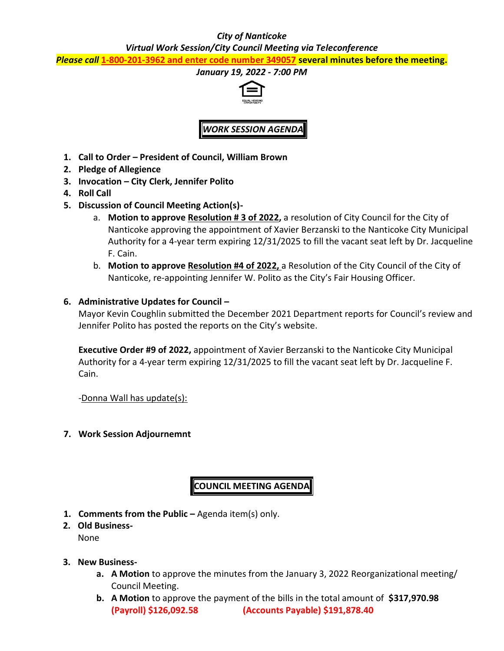## *City of Nanticoke*

*Virtual Work Session/City Council Meeting via Teleconference*

*Please call* **1-800-201-3962 and enter code number 349057 several minutes before the meeting.**

## *January 19, 2022 - 7:00 PM*



*WORK SESSION AGENDA*

- **1. Call to Order – President of Council, William Brown**
- **2. Pledge of Allegience**
- **3. Invocation – City Clerk, Jennifer Polito**
- **4. Roll Call**
- **5. Discussion of Council Meeting Action(s)**
	- a. **Motion to approve Resolution # 3 of 2022,** a resolution of City Council for the City of Nanticoke approving the appointment of Xavier Berzanski to the Nanticoke City Municipal Authority for a 4-year term expiring 12/31/2025 to fill the vacant seat left by Dr. Jacqueline F. Cain.
	- b. **Motion to approve Resolution #4 of 2022,** a Resolution of the City Council of the City of Nanticoke, re-appointing Jennifer W. Polito as the City's Fair Housing Officer.
- **6. Administrative Updates for Council –**

Mayor Kevin Coughlin submitted the December 2021 Department reports for Council's review and Jennifer Polito has posted the reports on the City's website.

**Executive Order #9 of 2022,** appointment of Xavier Berzanski to the Nanticoke City Municipal Authority for a 4-year term expiring 12/31/2025 to fill the vacant seat left by Dr. Jacqueline F. Cain.

-Donna Wall has update(s):

**7. Work Session Adjournemnt**

**COUNCIL MEETING AGENDA**

- **1. Comments from the Public –** Agenda item(s) only.
- **2. Old Business-**None
- **3. New Business**
	- **a. A Motion** to approve the minutes from the January 3, 2022 Reorganizational meeting/ Council Meeting.
	- **b. A Motion** to approve the payment of the bills in the total amount of **\$317,970.98 (Payroll) \$126,092.58 (Accounts Payable) \$191,878.40**